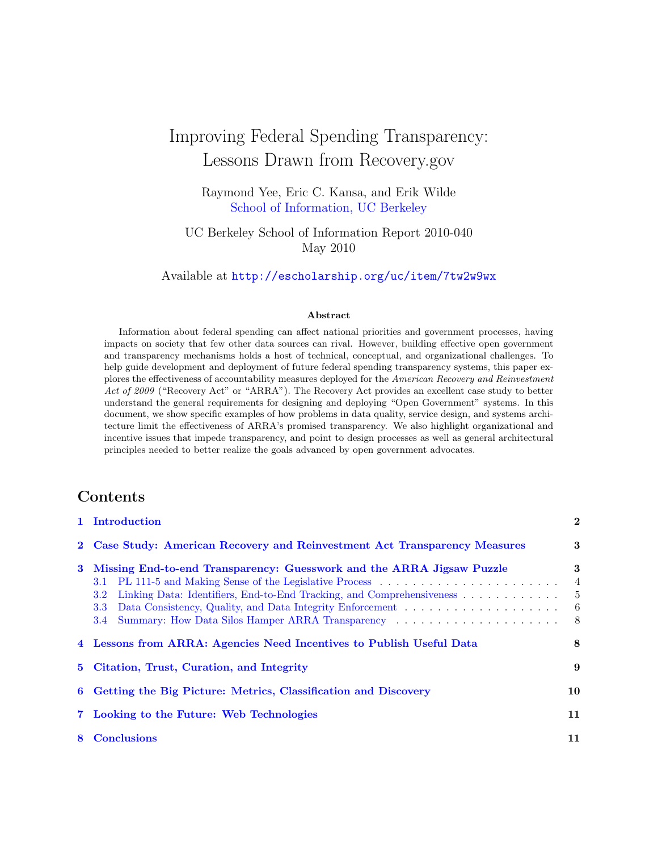# Improving Federal Spending Transparency: Lessons Drawn from Recovery.gov

Raymond Yee, Eric C. Kansa, and Erik Wilde [School of Information, UC Berkeley](http://www.ischool.berkeley.edu/)

UC Berkeley School of Information Report 2010-040 May 2010

Available at <http://escholarship.org/uc/item/7tw2w9wx>

#### Abstract

Information about federal spending can affect national priorities and government processes, having impacts on society that few other data sources can rival. However, building effective open government and transparency mechanisms holds a host of technical, conceptual, and organizational challenges. To help guide development and deployment of future federal spending transparency systems, this paper explores the effectiveness of accountability measures deployed for the American Recovery and Reinvestment Act of 2009 ("Recovery Act" or "ARRA"). The Recovery Act provides an excellent case study to better understand the general requirements for designing and deploying "Open Government" systems. In this document, we show specific examples of how problems in data quality, service design, and systems architecture limit the effectiveness of ARRA's promised transparency. We also highlight organizational and incentive issues that impede transparency, and point to design processes as well as general architectural principles needed to better realize the goals advanced by open government advocates.

### Contents

|   | 1 Introduction                                                                                                                                                                                                                                                                              | $\overline{2}$                            |
|---|---------------------------------------------------------------------------------------------------------------------------------------------------------------------------------------------------------------------------------------------------------------------------------------------|-------------------------------------------|
|   | 2 Case Study: American Recovery and Reinvestment Act Transparency Measures                                                                                                                                                                                                                  | 3                                         |
| 3 | Missing End-to-end Transparency: Guesswork and the ARRA Jigsaw Puzzle<br>Linking Data: Identifiers, End-to-End Tracking, and Comprehensiveness<br><b>3.2</b><br>Data Consistency, Quality, and Data Integrity Enforcement<br>3.3<br>Summary: How Data Silos Hamper ARRA Transparency<br>3.4 | 3<br>$\overline{4}$<br>$-5$<br>- 6<br>- 8 |
|   | 4 Lessons from ARRA: Agencies Need Incentives to Publish Useful Data                                                                                                                                                                                                                        | 8                                         |
|   | 5 Citation, Trust, Curation, and Integrity                                                                                                                                                                                                                                                  | 9                                         |
|   | 6 Getting the Big Picture: Metrics, Classification and Discovery                                                                                                                                                                                                                            | 10                                        |
|   | 7 Looking to the Future: Web Technologies                                                                                                                                                                                                                                                   | 11                                        |
| 8 | <b>Conclusions</b>                                                                                                                                                                                                                                                                          | 11                                        |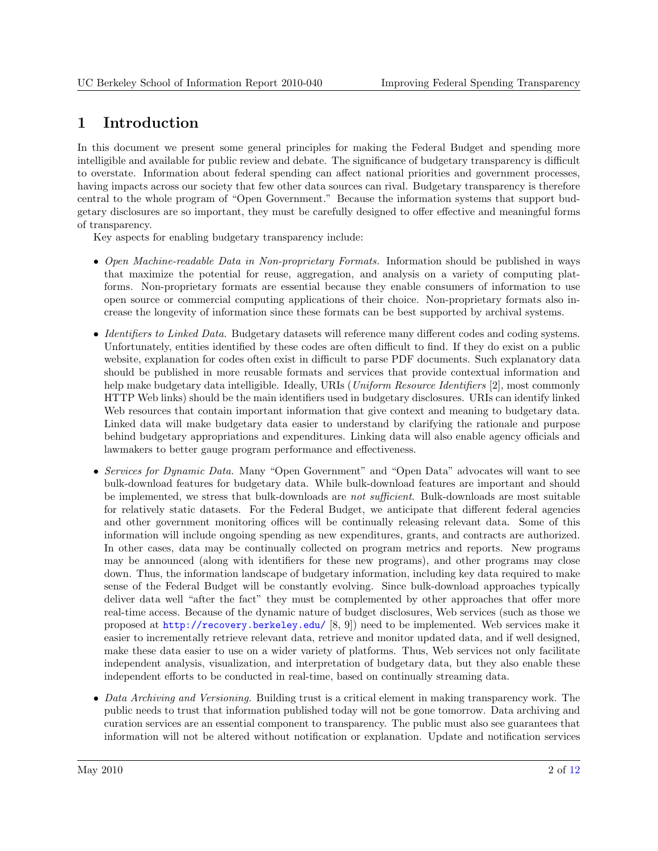## <span id="page-1-0"></span>1 Introduction

In this document we present some general principles for making the Federal Budget and spending more intelligible and available for public review and debate. The significance of budgetary transparency is difficult to overstate. Information about federal spending can affect national priorities and government processes, having impacts across our society that few other data sources can rival. Budgetary transparency is therefore central to the whole program of "Open Government." Because the information systems that support budgetary disclosures are so important, they must be carefully designed to offer effective and meaningful forms of transparency.

Key aspects for enabling budgetary transparency include:

- Open Machine-readable Data in Non-proprietary Formats. Information should be published in ways that maximize the potential for reuse, aggregation, and analysis on a variety of computing platforms. Non-proprietary formats are essential because they enable consumers of information to use open source or commercial computing applications of their choice. Non-proprietary formats also increase the longevity of information since these formats can be best supported by archival systems.
- *Identifiers to Linked Data.* Budgetary datasets will reference many different codes and coding systems. Unfortunately, entities identified by these codes are often difficult to find. If they do exist on a public website, explanation for codes often exist in difficult to parse PDF documents. Such explanatory data should be published in more reusable formats and services that provide contextual information and help make budgetary data intelligible. Ideally, URIs (Uniform Resource Identifiers [\[2\]](#page-10-0), most commonly HTTP Web links) should be the main identifiers used in budgetary disclosures. URIs can identify linked Web resources that contain important information that give context and meaning to budgetary data. Linked data will make budgetary data easier to understand by clarifying the rationale and purpose behind budgetary appropriations and expenditures. Linking data will also enable agency officials and lawmakers to better gauge program performance and effectiveness.
- Services for Dynamic Data. Many "Open Government" and "Open Data" advocates will want to see bulk-download features for budgetary data. While bulk-download features are important and should be implemented, we stress that bulk-downloads are not sufficient. Bulk-downloads are most suitable for relatively static datasets. For the Federal Budget, we anticipate that different federal agencies and other government monitoring offices will be continually releasing relevant data. Some of this information will include ongoing spending as new expenditures, grants, and contracts are authorized. In other cases, data may be continually collected on program metrics and reports. New programs may be announced (along with identifiers for these new programs), and other programs may close down. Thus, the information landscape of budgetary information, including key data required to make sense of the Federal Budget will be constantly evolving. Since bulk-download approaches typically deliver data well "after the fact" they must be complemented by other approaches that offer more real-time access. Because of the dynamic nature of budget disclosures, Web services (such as those we proposed at <http://recovery.berkeley.edu/> [\[8,](#page-11-0) [9\]](#page-11-0)) need to be implemented. Web services make it easier to incrementally retrieve relevant data, retrieve and monitor updated data, and if well designed, make these data easier to use on a wider variety of platforms. Thus, Web services not only facilitate independent analysis, visualization, and interpretation of budgetary data, but they also enable these independent efforts to be conducted in real-time, based on continually streaming data.
- Data Archiving and Versioning. Building trust is a critical element in making transparency work. The public needs to trust that information published today will not be gone tomorrow. Data archiving and curation services are an essential component to transparency. The public must also see guarantees that information will not be altered without notification or explanation. Update and notification services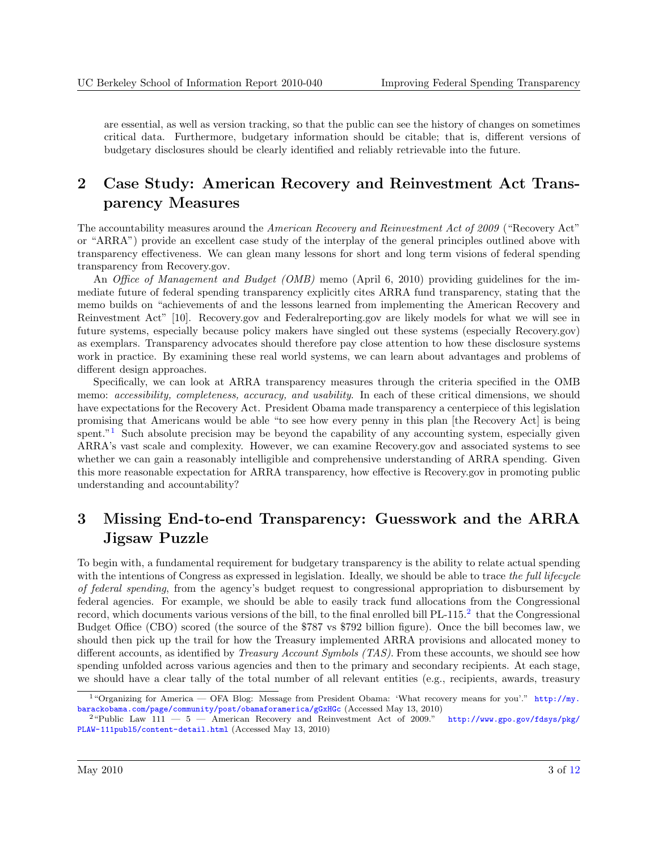<span id="page-2-0"></span>are essential, as well as version tracking, so that the public can see the history of changes on sometimes critical data. Furthermore, budgetary information should be citable; that is, different versions of budgetary disclosures should be clearly identified and reliably retrievable into the future.

# 2 Case Study: American Recovery and Reinvestment Act Transparency Measures

The accountability measures around the American Recovery and Reinvestment Act of 2009 ("Recovery Act" or "ARRA") provide an excellent case study of the interplay of the general principles outlined above with transparency effectiveness. We can glean many lessons for short and long term visions of federal spending transparency from Recovery.gov.

An *Office of Management and Budget (OMB)* memo (April 6, 2010) providing guidelines for the immediate future of federal spending transparency explicitly cites ARRA fund transparency, stating that the memo builds on "achievements of and the lessons learned from implementing the American Recovery and Reinvestment Act" [\[10\]](#page-11-0). Recovery.gov and Federalreporting.gov are likely models for what we will see in future systems, especially because policy makers have singled out these systems (especially Recovery.gov) as exemplars. Transparency advocates should therefore pay close attention to how these disclosure systems work in practice. By examining these real world systems, we can learn about advantages and problems of different design approaches.

Specifically, we can look at ARRA transparency measures through the criteria specified in the OMB memo: accessibility, completeness, accuracy, and usability. In each of these critical dimensions, we should have expectations for the Recovery Act. President Obama made transparency a centerpiece of this legislation promising that Americans would be able "to see how every penny in this plan [the Recovery Act] is being spent."<sup>1</sup> Such absolute precision may be beyond the capability of any accounting system, especially given ARRA's vast scale and complexity. However, we can examine Recovery.gov and associated systems to see whether we can gain a reasonably intelligible and comprehensive understanding of ARRA spending. Given this more reasonable expectation for ARRA transparency, how effective is Recovery.gov in promoting public understanding and accountability?

# 3 Missing End-to-end Transparency: Guesswork and the ARRA Jigsaw Puzzle

To begin with, a fundamental requirement for budgetary transparency is the ability to relate actual spending with the intentions of Congress as expressed in legislation. Ideally, we should be able to trace the full lifecycle of federal spending, from the agency's budget request to congressional appropriation to disbursement by federal agencies. For example, we should be able to easily track fund allocations from the Congressional record, which documents various versions of the bill, to the final enrolled bill PL-115.<sup>2</sup> that the Congressional Budget Office (CBO) scored (the source of the \$787 vs \$792 billion figure). Once the bill becomes law, we should then pick up the trail for how the Treasury implemented ARRA provisions and allocated money to different accounts, as identified by Treasury Account Symbols (TAS). From these accounts, we should see how spending unfolded across various agencies and then to the primary and secondary recipients. At each stage, we should have a clear tally of the total number of all relevant entities (e.g., recipients, awards, treasury

<sup>&</sup>lt;sup>1</sup>"Organizing for America — OFA Blog: Message from President Obama: 'What recovery means for you'." [http://my.](http://my.barackobama.com/page/community/post/obamaforamerica/gGxHGc) [barackobama.com/page/community/post/obamaforamerica/gGxHGc](http://my.barackobama.com/page/community/post/obamaforamerica/gGxHGc) (Accessed May 13, 2010)

 $2$ "Public Law 111  $-5$   $-$  American Recovery and Reinvestment Act of 2009." [http://www.gpo.gov/fdsys/pkg/](http://www.gpo.gov/fdsys/pkg/PLAW-111publ5/content-detail.html) [PLAW-111publ5/content-detail.html](http://www.gpo.gov/fdsys/pkg/PLAW-111publ5/content-detail.html) (Accessed May 13, 2010)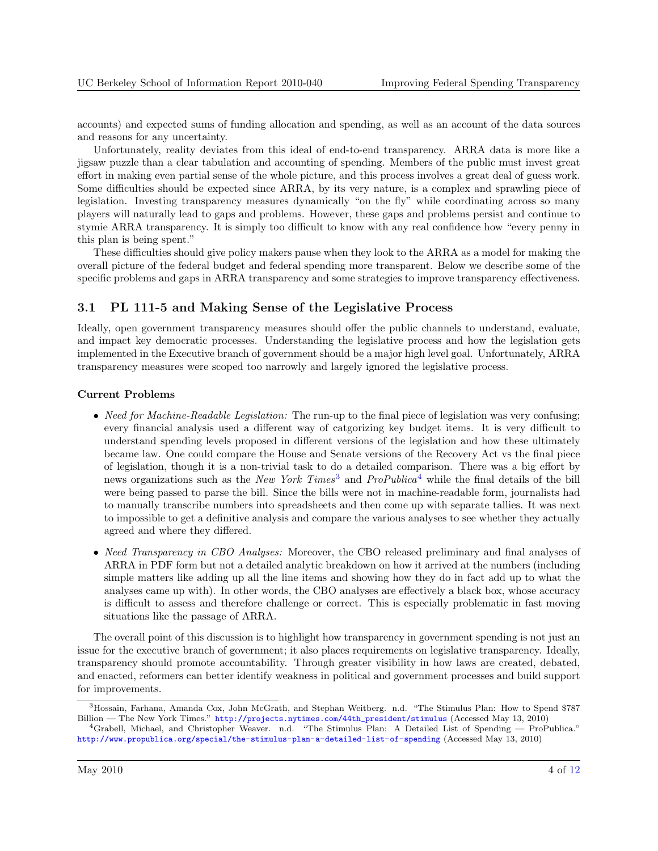<span id="page-3-0"></span>accounts) and expected sums of funding allocation and spending, as well as an account of the data sources and reasons for any uncertainty.

Unfortunately, reality deviates from this ideal of end-to-end transparency. ARRA data is more like a jigsaw puzzle than a clear tabulation and accounting of spending. Members of the public must invest great effort in making even partial sense of the whole picture, and this process involves a great deal of guess work. Some difficulties should be expected since ARRA, by its very nature, is a complex and sprawling piece of legislation. Investing transparency measures dynamically "on the fly" while coordinating across so many players will naturally lead to gaps and problems. However, these gaps and problems persist and continue to stymie ARRA transparency. It is simply too difficult to know with any real confidence how "every penny in this plan is being spent."

These difficulties should give policy makers pause when they look to the ARRA as a model for making the overall picture of the federal budget and federal spending more transparent. Below we describe some of the specific problems and gaps in ARRA transparency and some strategies to improve transparency effectiveness.

#### 3.1 PL 111-5 and Making Sense of the Legislative Process

Ideally, open government transparency measures should offer the public channels to understand, evaluate, and impact key democratic processes. Understanding the legislative process and how the legislation gets implemented in the Executive branch of government should be a major high level goal. Unfortunately, ARRA transparency measures were scoped too narrowly and largely ignored the legislative process.

#### Current Problems

- Need for Machine-Readable Legislation: The run-up to the final piece of legislation was very confusing; every financial analysis used a different way of catgorizing key budget items. It is very difficult to understand spending levels proposed in different versions of the legislation and how these ultimately became law. One could compare the House and Senate versions of the Recovery Act vs the final piece of legislation, though it is a non-trivial task to do a detailed comparison. There was a big effort by news organizations such as the New York Times<sup>3</sup> and ProPublica<sup>4</sup> while the final details of the bill were being passed to parse the bill. Since the bills were not in machine-readable form, journalists had to manually transcribe numbers into spreadsheets and then come up with separate tallies. It was next to impossible to get a definitive analysis and compare the various analyses to see whether they actually agreed and where they differed.
- Need Transparency in CBO Analyses: Moreover, the CBO released preliminary and final analyses of ARRA in PDF form but not a detailed analytic breakdown on how it arrived at the numbers (including simple matters like adding up all the line items and showing how they do in fact add up to what the analyses came up with). In other words, the CBO analyses are effectively a black box, whose accuracy is difficult to assess and therefore challenge or correct. This is especially problematic in fast moving situations like the passage of ARRA.

The overall point of this discussion is to highlight how transparency in government spending is not just an issue for the executive branch of government; it also places requirements on legislative transparency. Ideally, transparency should promote accountability. Through greater visibility in how laws are created, debated, and enacted, reformers can better identify weakness in political and government processes and build support for improvements.

<sup>3</sup>Hossain, Farhana, Amanda Cox, John McGrath, and Stephan Weitberg. n.d. "The Stimulus Plan: How to Spend \$787 Billion — The New York Times." [http://projects.nytimes.com/44th\\_president/stimulus](http://projects.nytimes.com/44th_president/stimulus) (Accessed May 13, 2010)

<sup>4</sup>Grabell, Michael, and Christopher Weaver. n.d. "The Stimulus Plan: A Detailed List of Spending — ProPublica." <http://www.propublica.org/special/the-stimulus-plan-a-detailed-list-of-spending> (Accessed May 13, 2010)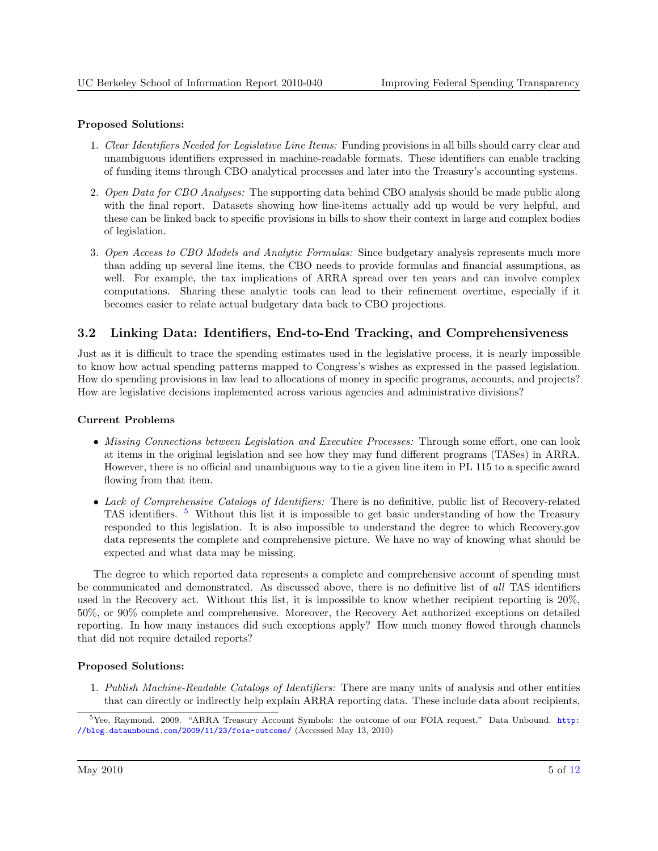#### <span id="page-4-0"></span>Proposed Solutions:

- 1. Clear Identifiers Needed for Legislative Line Items: Funding provisions in all bills should carry clear and unambiguous identifiers expressed in machine-readable formats. These identifiers can enable tracking of funding items through CBO analytical processes and later into the Treasury's accounting systems.
- 2. Open Data for CBO Analyses: The supporting data behind CBO analysis should be made public along with the final report. Datasets showing how line-items actually add up would be very helpful, and these can be linked back to specific provisions in bills to show their context in large and complex bodies of legislation.
- 3. Open Access to CBO Models and Analytic Formulas: Since budgetary analysis represents much more than adding up several line items, the CBO needs to provide formulas and financial assumptions, as well. For example, the tax implications of ARRA spread over ten years and can involve complex computations. Sharing these analytic tools can lead to their refinement overtime, especially if it becomes easier to relate actual budgetary data back to CBO projections.

### 3.2 Linking Data: Identifiers, End-to-End Tracking, and Comprehensiveness

Just as it is difficult to trace the spending estimates used in the legislative process, it is nearly impossible to know how actual spending patterns mapped to Congress's wishes as expressed in the passed legislation. How do spending provisions in law lead to allocations of money in specific programs, accounts, and projects? How are legislative decisions implemented across various agencies and administrative divisions?

#### Current Problems

- Missing Connections between Legislation and Executive Processes: Through some effort, one can look at items in the original legislation and see how they may fund different programs (TASes) in ARRA. However, there is no official and unambiguous way to tie a given line item in PL 115 to a specific award flowing from that item.
- Lack of Comprehensive Catalogs of Identifiers: There is no definitive, public list of Recovery-related TAS identifiers. <sup>5</sup> Without this list it is impossible to get basic understanding of how the Treasury responded to this legislation. It is also impossible to understand the degree to which Recovery.gov data represents the complete and comprehensive picture. We have no way of knowing what should be expected and what data may be missing.

The degree to which reported data represents a complete and comprehensive account of spending must be communicated and demonstrated. As discussed above, there is no definitive list of all TAS identifiers used in the Recovery act. Without this list, it is impossible to know whether recipient reporting is 20%, 50%, or 90% complete and comprehensive. Moreover, the Recovery Act authorized exceptions on detailed reporting. In how many instances did such exceptions apply? How much money flowed through channels that did not require detailed reports?

### Proposed Solutions:

1. Publish Machine-Readable Catalogs of Identifiers: There are many units of analysis and other entities that can directly or indirectly help explain ARRA reporting data. These include data about recipients,

<sup>&</sup>lt;sup>5</sup>Yee, Raymond. 2009. "ARRA Treasury Account Symbols: the outcome of our FOIA request." Data Unbound. [http:](http://blog.dataunbound.com/2009/11/23/foia-outcome/) [//blog.dataunbound.com/2009/11/23/foia-outcome/](http://blog.dataunbound.com/2009/11/23/foia-outcome/) (Accessed May 13, 2010)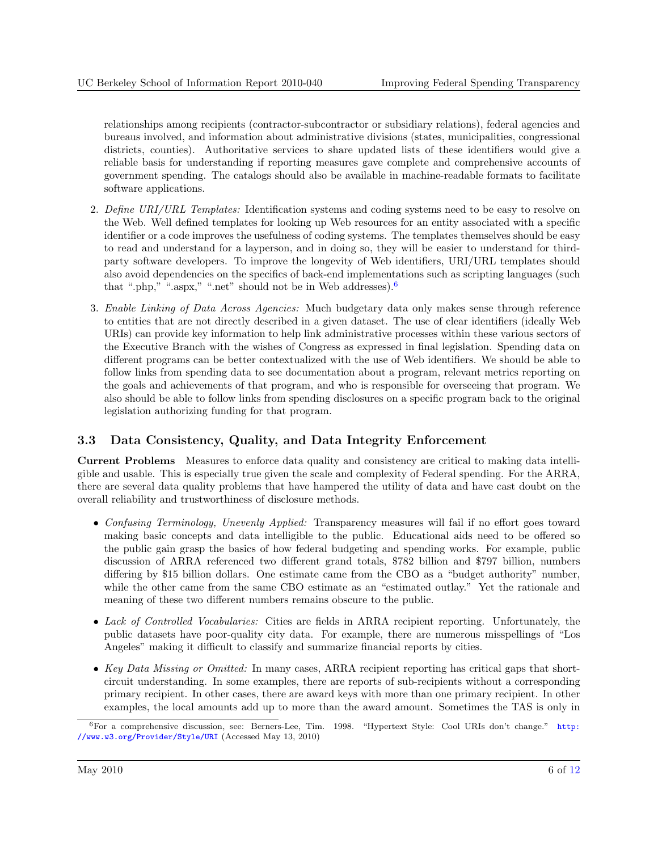<span id="page-5-0"></span>relationships among recipients (contractor-subcontractor or subsidiary relations), federal agencies and bureaus involved, and information about administrative divisions (states, municipalities, congressional districts, counties). Authoritative services to share updated lists of these identifiers would give a reliable basis for understanding if reporting measures gave complete and comprehensive accounts of government spending. The catalogs should also be available in machine-readable formats to facilitate software applications.

- 2. Define URI/URL Templates: Identification systems and coding systems need to be easy to resolve on the Web. Well defined templates for looking up Web resources for an entity associated with a specific identifier or a code improves the usefulness of coding systems. The templates themselves should be easy to read and understand for a layperson, and in doing so, they will be easier to understand for thirdparty software developers. To improve the longevity of Web identifiers, URI/URL templates should also avoid dependencies on the specifics of back-end implementations such as scripting languages (such that ".php," ".aspx," ".net" should not be in Web addresses).  $6$
- 3. Enable Linking of Data Across Agencies: Much budgetary data only makes sense through reference to entities that are not directly described in a given dataset. The use of clear identifiers (ideally Web URIs) can provide key information to help link administrative processes within these various sectors of the Executive Branch with the wishes of Congress as expressed in final legislation. Spending data on different programs can be better contextualized with the use of Web identifiers. We should be able to follow links from spending data to see documentation about a program, relevant metrics reporting on the goals and achievements of that program, and who is responsible for overseeing that program. We also should be able to follow links from spending disclosures on a specific program back to the original legislation authorizing funding for that program.

### 3.3 Data Consistency, Quality, and Data Integrity Enforcement

Current Problems Measures to enforce data quality and consistency are critical to making data intelligible and usable. This is especially true given the scale and complexity of Federal spending. For the ARRA, there are several data quality problems that have hampered the utility of data and have cast doubt on the overall reliability and trustworthiness of disclosure methods.

- Confusing Terminology, Unevenly Applied: Transparency measures will fail if no effort goes toward making basic concepts and data intelligible to the public. Educational aids need to be offered so the public gain grasp the basics of how federal budgeting and spending works. For example, public discussion of ARRA referenced two different grand totals, \$782 billion and \$797 billion, numbers differing by \$15 billion dollars. One estimate came from the CBO as a "budget authority" number, while the other came from the same CBO estimate as an "estimated outlay." Yet the rationale and meaning of these two different numbers remains obscure to the public.
- Lack of Controlled Vocabularies: Cities are fields in ARRA recipient reporting. Unfortunately, the public datasets have poor-quality city data. For example, there are numerous misspellings of "Los Angeles" making it difficult to classify and summarize financial reports by cities.
- Key Data Missing or Omitted: In many cases, ARRA recipient reporting has critical gaps that shortcircuit understanding. In some examples, there are reports of sub-recipients without a corresponding primary recipient. In other cases, there are award keys with more than one primary recipient. In other examples, the local amounts add up to more than the award amount. Sometimes the TAS is only in

<sup>&</sup>lt;sup>6</sup>For a comprehensive discussion, see: Berners-Lee, Tim. 1998. "Hypertext Style: Cool URIs don't change." [http:](http://www.w3.org/Provider/Style/URI) [//www.w3.org/Provider/Style/URI](http://www.w3.org/Provider/Style/URI) (Accessed May 13, 2010)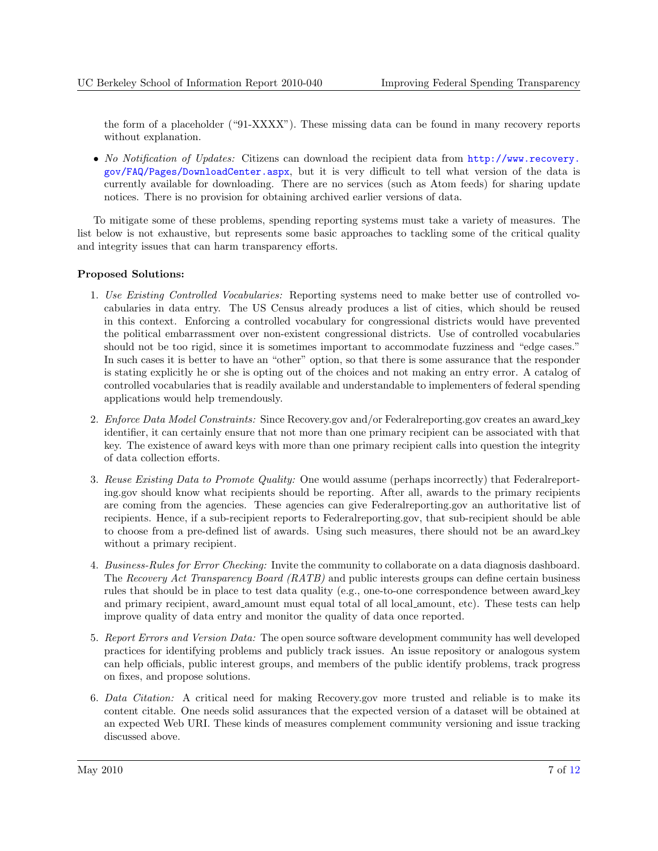the form of a placeholder ("91-XXXX"). These missing data can be found in many recovery reports without explanation.

• No Notification of Updates: Citizens can download the recipient data from [http://www.recovery.](http://www.recovery.gov/FAQ/Pages/DownloadCenter.aspx) [gov/FAQ/Pages/DownloadCenter.aspx](http://www.recovery.gov/FAQ/Pages/DownloadCenter.aspx), but it is very difficult to tell what version of the data is currently available for downloading. There are no services (such as Atom feeds) for sharing update notices. There is no provision for obtaining archived earlier versions of data.

To mitigate some of these problems, spending reporting systems must take a variety of measures. The list below is not exhaustive, but represents some basic approaches to tackling some of the critical quality and integrity issues that can harm transparency efforts.

#### Proposed Solutions:

- 1. Use Existing Controlled Vocabularies: Reporting systems need to make better use of controlled vocabularies in data entry. The US Census already produces a list of cities, which should be reused in this context. Enforcing a controlled vocabulary for congressional districts would have prevented the political embarrassment over non-existent congressional districts. Use of controlled vocabularies should not be too rigid, since it is sometimes important to accommodate fuzziness and "edge cases." In such cases it is better to have an "other" option, so that there is some assurance that the responder is stating explicitly he or she is opting out of the choices and not making an entry error. A catalog of controlled vocabularies that is readily available and understandable to implementers of federal spending applications would help tremendously.
- 2. Enforce Data Model Constraints: Since Recovery.gov and/or Federalreporting.gov creates an award key identifier, it can certainly ensure that not more than one primary recipient can be associated with that key. The existence of award keys with more than one primary recipient calls into question the integrity of data collection efforts.
- 3. Reuse Existing Data to Promote Quality: One would assume (perhaps incorrectly) that Federalreporting.gov should know what recipients should be reporting. After all, awards to the primary recipients are coming from the agencies. These agencies can give Federalreporting.gov an authoritative list of recipients. Hence, if a sub-recipient reports to Federalreporting.gov, that sub-recipient should be able to choose from a pre-defined list of awards. Using such measures, there should not be an award key without a primary recipient.
- 4. Business-Rules for Error Checking: Invite the community to collaborate on a data diagnosis dashboard. The Recovery Act Transparency Board (RATB) and public interests groups can define certain business rules that should be in place to test data quality (e.g., one-to-one correspondence between award key and primary recipient, award amount must equal total of all local amount, etc). These tests can help improve quality of data entry and monitor the quality of data once reported.
- 5. Report Errors and Version Data: The open source software development community has well developed practices for identifying problems and publicly track issues. An issue repository or analogous system can help officials, public interest groups, and members of the public identify problems, track progress on fixes, and propose solutions.
- 6. Data Citation: A critical need for making Recovery.gov more trusted and reliable is to make its content citable. One needs solid assurances that the expected version of a dataset will be obtained at an expected Web URI. These kinds of measures complement community versioning and issue tracking discussed above.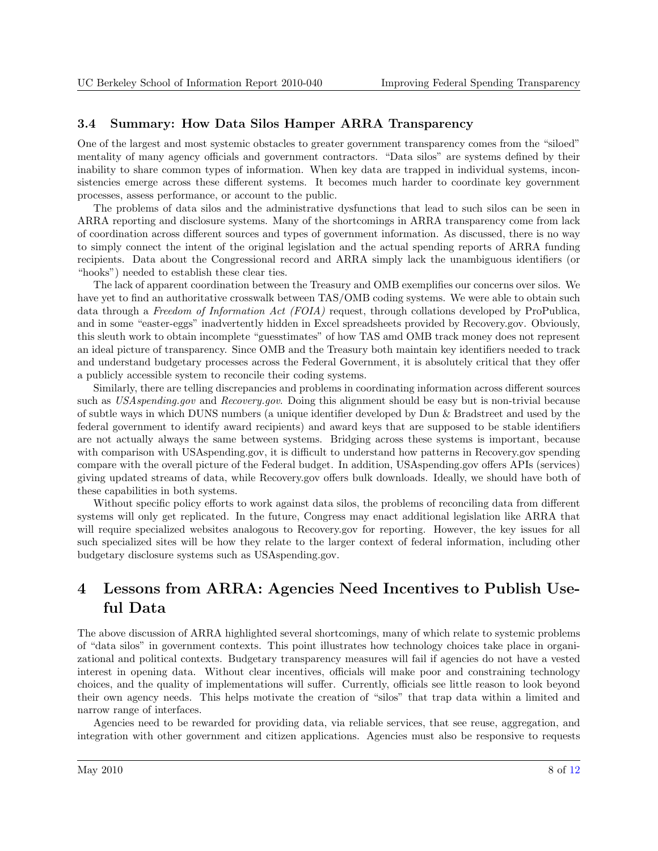### <span id="page-7-0"></span>3.4 Summary: How Data Silos Hamper ARRA Transparency

One of the largest and most systemic obstacles to greater government transparency comes from the "siloed" mentality of many agency officials and government contractors. "Data silos" are systems defined by their inability to share common types of information. When key data are trapped in individual systems, inconsistencies emerge across these different systems. It becomes much harder to coordinate key government processes, assess performance, or account to the public.

The problems of data silos and the administrative dysfunctions that lead to such silos can be seen in ARRA reporting and disclosure systems. Many of the shortcomings in ARRA transparency come from lack of coordination across different sources and types of government information. As discussed, there is no way to simply connect the intent of the original legislation and the actual spending reports of ARRA funding recipients. Data about the Congressional record and ARRA simply lack the unambiguous identifiers (or "hooks") needed to establish these clear ties.

The lack of apparent coordination between the Treasury and OMB exemplifies our concerns over silos. We have yet to find an authoritative crosswalk between TAS/OMB coding systems. We were able to obtain such data through a Freedom of Information Act (FOIA) request, through collations developed by ProPublica, and in some "easter-eggs" inadvertently hidden in Excel spreadsheets provided by Recovery.gov. Obviously, this sleuth work to obtain incomplete "guesstimates" of how TAS amd OMB track money does not represent an ideal picture of transparency. Since OMB and the Treasury both maintain key identifiers needed to track and understand budgetary processes across the Federal Government, it is absolutely critical that they offer a publicly accessible system to reconcile their coding systems.

Similarly, there are telling discrepancies and problems in coordinating information across different sources such as USAspending.gov and Recovery.gov. Doing this alignment should be easy but is non-trivial because of subtle ways in which DUNS numbers (a unique identifier developed by Dun & Bradstreet and used by the federal government to identify award recipients) and award keys that are supposed to be stable identifiers are not actually always the same between systems. Bridging across these systems is important, because with comparison with USAspending.gov, it is difficult to understand how patterns in Recovery.gov spending compare with the overall picture of the Federal budget. In addition, USAspending.gov offers APIs (services) giving updated streams of data, while Recovery.gov offers bulk downloads. Ideally, we should have both of these capabilities in both systems.

Without specific policy efforts to work against data silos, the problems of reconciling data from different systems will only get replicated. In the future, Congress may enact additional legislation like ARRA that will require specialized websites analogous to Recovery.gov for reporting. However, the key issues for all such specialized sites will be how they relate to the larger context of federal information, including other budgetary disclosure systems such as USAspending.gov.

# 4 Lessons from ARRA: Agencies Need Incentives to Publish Useful Data

The above discussion of ARRA highlighted several shortcomings, many of which relate to systemic problems of "data silos" in government contexts. This point illustrates how technology choices take place in organizational and political contexts. Budgetary transparency measures will fail if agencies do not have a vested interest in opening data. Without clear incentives, officials will make poor and constraining technology choices, and the quality of implementations will suffer. Currently, officials see little reason to look beyond their own agency needs. This helps motivate the creation of "silos" that trap data within a limited and narrow range of interfaces.

Agencies need to be rewarded for providing data, via reliable services, that see reuse, aggregation, and integration with other government and citizen applications. Agencies must also be responsive to requests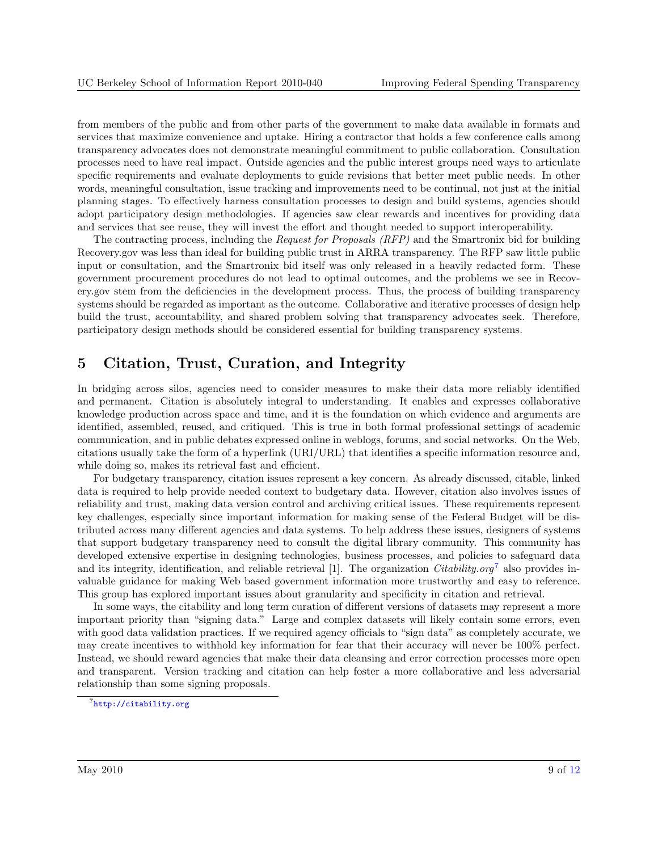<span id="page-8-0"></span>from members of the public and from other parts of the government to make data available in formats and services that maximize convenience and uptake. Hiring a contractor that holds a few conference calls among transparency advocates does not demonstrate meaningful commitment to public collaboration. Consultation processes need to have real impact. Outside agencies and the public interest groups need ways to articulate specific requirements and evaluate deployments to guide revisions that better meet public needs. In other words, meaningful consultation, issue tracking and improvements need to be continual, not just at the initial planning stages. To effectively harness consultation processes to design and build systems, agencies should adopt participatory design methodologies. If agencies saw clear rewards and incentives for providing data and services that see reuse, they will invest the effort and thought needed to support interoperability.

The contracting process, including the Request for Proposals (RFP) and the Smartronix bid for building Recovery.gov was less than ideal for building public trust in ARRA transparency. The RFP saw little public input or consultation, and the Smartronix bid itself was only released in a heavily redacted form. These government procurement procedures do not lead to optimal outcomes, and the problems we see in Recovery.gov stem from the deficiencies in the development process. Thus, the process of building transparency systems should be regarded as important as the outcome. Collaborative and iterative processes of design help build the trust, accountability, and shared problem solving that transparency advocates seek. Therefore, participatory design methods should be considered essential for building transparency systems.

### 5 Citation, Trust, Curation, and Integrity

In bridging across silos, agencies need to consider measures to make their data more reliably identified and permanent. Citation is absolutely integral to understanding. It enables and expresses collaborative knowledge production across space and time, and it is the foundation on which evidence and arguments are identified, assembled, reused, and critiqued. This is true in both formal professional settings of academic communication, and in public debates expressed online in weblogs, forums, and social networks. On the Web, citations usually take the form of a hyperlink (URI/URL) that identifies a specific information resource and, while doing so, makes its retrieval fast and efficient.

For budgetary transparency, citation issues represent a key concern. As already discussed, citable, linked data is required to help provide needed context to budgetary data. However, citation also involves issues of reliability and trust, making data version control and archiving critical issues. These requirements represent key challenges, especially since important information for making sense of the Federal Budget will be distributed across many different agencies and data systems. To help address these issues, designers of systems that support budgetary transparency need to consult the digital library community. This community has developed extensive expertise in designing technologies, business processes, and policies to safeguard data and its integrity, identification, and reliable retrieval [\[1\]](#page-10-0). The organization *Citability.org*<sup>7</sup> also provides invaluable guidance for making Web based government information more trustworthy and easy to reference. This group has explored important issues about granularity and specificity in citation and retrieval.

In some ways, the citability and long term curation of different versions of datasets may represent a more important priority than "signing data." Large and complex datasets will likely contain some errors, even with good data validation practices. If we required agency officials to "sign data" as completely accurate, we may create incentives to withhold key information for fear that their accuracy will never be 100% perfect. Instead, we should reward agencies that make their data cleansing and error correction processes more open and transparent. Version tracking and citation can help foster a more collaborative and less adversarial relationship than some signing proposals.

<sup>7</sup><http://citability.org>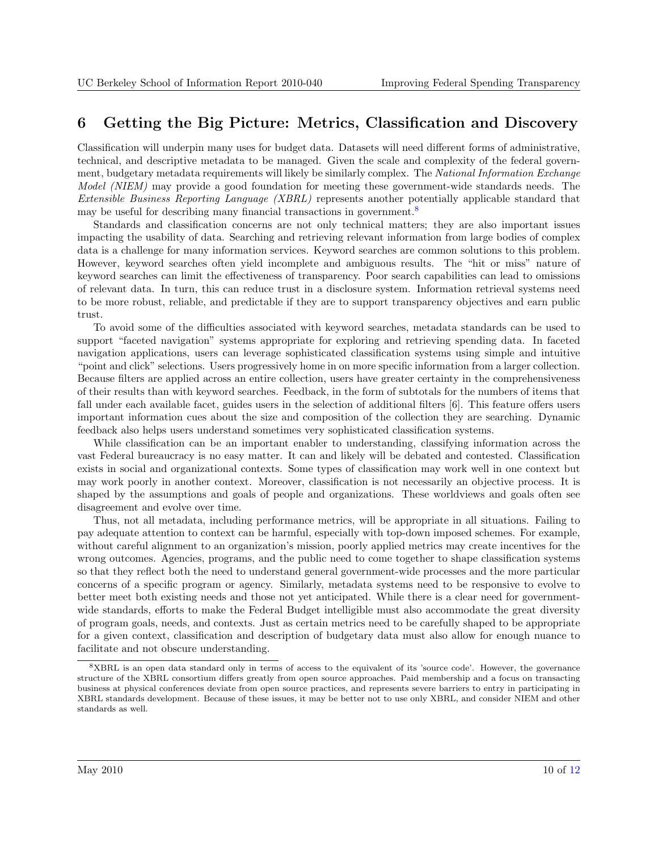## <span id="page-9-0"></span>6 Getting the Big Picture: Metrics, Classification and Discovery

Classification will underpin many uses for budget data. Datasets will need different forms of administrative, technical, and descriptive metadata to be managed. Given the scale and complexity of the federal government, budgetary metadata requirements will likely be similarly complex. The National Information Exchange Model (NIEM) may provide a good foundation for meeting these government-wide standards needs. The Extensible Business Reporting Language (XBRL) represents another potentially applicable standard that may be useful for describing many financial transactions in government.<sup>8</sup>

Standards and classification concerns are not only technical matters; they are also important issues impacting the usability of data. Searching and retrieving relevant information from large bodies of complex data is a challenge for many information services. Keyword searches are common solutions to this problem. However, keyword searches often yield incomplete and ambiguous results. The "hit or miss" nature of keyword searches can limit the effectiveness of transparency. Poor search capabilities can lead to omissions of relevant data. In turn, this can reduce trust in a disclosure system. Information retrieval systems need to be more robust, reliable, and predictable if they are to support transparency objectives and earn public trust.

To avoid some of the difficulties associated with keyword searches, metadata standards can be used to support "faceted navigation" systems appropriate for exploring and retrieving spending data. In faceted navigation applications, users can leverage sophisticated classification systems using simple and intuitive "point and click" selections. Users progressively home in on more specific information from a larger collection. Because filters are applied across an entire collection, users have greater certainty in the comprehensiveness of their results than with keyword searches. Feedback, in the form of subtotals for the numbers of items that fall under each available facet, guides users in the selection of additional filters [\[6\]](#page-11-0). This feature offers users important information cues about the size and composition of the collection they are searching. Dynamic feedback also helps users understand sometimes very sophisticated classification systems.

While classification can be an important enabler to understanding, classifying information across the vast Federal bureaucracy is no easy matter. It can and likely will be debated and contested. Classification exists in social and organizational contexts. Some types of classification may work well in one context but may work poorly in another context. Moreover, classification is not necessarily an objective process. It is shaped by the assumptions and goals of people and organizations. These worldviews and goals often see disagreement and evolve over time.

Thus, not all metadata, including performance metrics, will be appropriate in all situations. Failing to pay adequate attention to context can be harmful, especially with top-down imposed schemes. For example, without careful alignment to an organization's mission, poorly applied metrics may create incentives for the wrong outcomes. Agencies, programs, and the public need to come together to shape classification systems so that they reflect both the need to understand general government-wide processes and the more particular concerns of a specific program or agency. Similarly, metadata systems need to be responsive to evolve to better meet both existing needs and those not yet anticipated. While there is a clear need for governmentwide standards, efforts to make the Federal Budget intelligible must also accommodate the great diversity of program goals, needs, and contexts. Just as certain metrics need to be carefully shaped to be appropriate for a given context, classification and description of budgetary data must also allow for enough nuance to facilitate and not obscure understanding.

<sup>8</sup>XBRL is an open data standard only in terms of access to the equivalent of its 'source code'. However, the governance structure of the XBRL consortium differs greatly from open source approaches. Paid membership and a focus on transacting business at physical conferences deviate from open source practices, and represents severe barriers to entry in participating in XBRL standards development. Because of these issues, it may be better not to use only XBRL, and consider NIEM and other standards as well.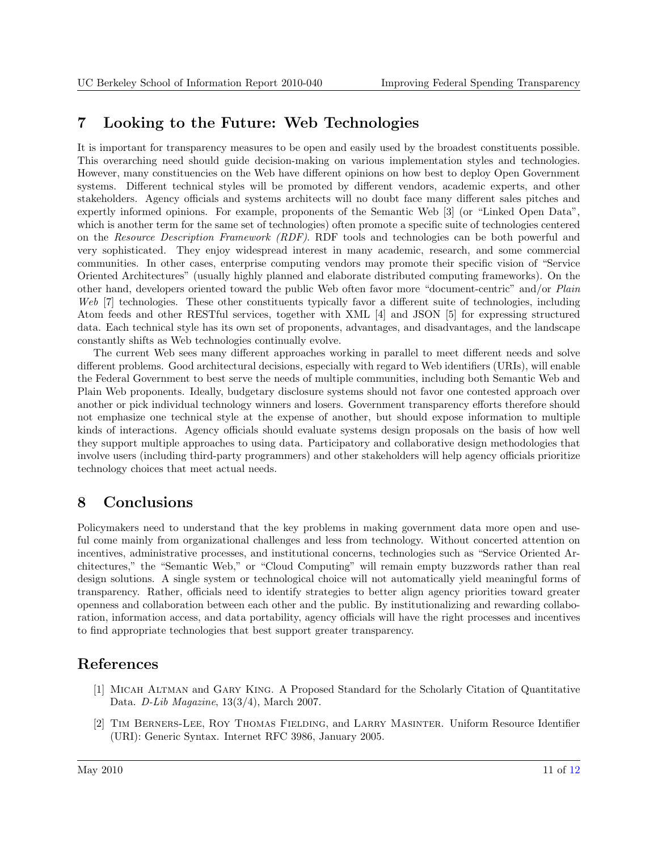## <span id="page-10-0"></span>7 Looking to the Future: Web Technologies

It is important for transparency measures to be open and easily used by the broadest constituents possible. This overarching need should guide decision-making on various implementation styles and technologies. However, many constituencies on the Web have different opinions on how best to deploy Open Government systems. Different technical styles will be promoted by different vendors, academic experts, and other stakeholders. Agency officials and systems architects will no doubt face many different sales pitches and expertly informed opinions. For example, proponents of the Semantic Web [\[3\]](#page-11-0) (or "Linked Open Data", which is another term for the same set of technologies) often promote a specific suite of technologies centered on the Resource Description Framework (RDF). RDF tools and technologies can be both powerful and very sophisticated. They enjoy widespread interest in many academic, research, and some commercial communities. In other cases, enterprise computing vendors may promote their specific vision of "Service Oriented Architectures" (usually highly planned and elaborate distributed computing frameworks). On the other hand, developers oriented toward the public Web often favor more "document-centric" and/or Plain Web [\[7\]](#page-11-0) technologies. These other constituents typically favor a different suite of technologies, including Atom feeds and other RESTful services, together with XML [\[4\]](#page-11-0) and JSON [\[5\]](#page-11-0) for expressing structured data. Each technical style has its own set of proponents, advantages, and disadvantages, and the landscape constantly shifts as Web technologies continually evolve.

The current Web sees many different approaches working in parallel to meet different needs and solve different problems. Good architectural decisions, especially with regard to Web identifiers (URIs), will enable the Federal Government to best serve the needs of multiple communities, including both Semantic Web and Plain Web proponents. Ideally, budgetary disclosure systems should not favor one contested approach over another or pick individual technology winners and losers. Government transparency efforts therefore should not emphasize one technical style at the expense of another, but should expose information to multiple kinds of interactions. Agency officials should evaluate systems design proposals on the basis of how well they support multiple approaches to using data. Participatory and collaborative design methodologies that involve users (including third-party programmers) and other stakeholders will help agency officials prioritize technology choices that meet actual needs.

## 8 Conclusions

Policymakers need to understand that the key problems in making government data more open and useful come mainly from organizational challenges and less from technology. Without concerted attention on incentives, administrative processes, and institutional concerns, technologies such as "Service Oriented Architectures," the "Semantic Web," or "Cloud Computing" will remain empty buzzwords rather than real design solutions. A single system or technological choice will not automatically yield meaningful forms of transparency. Rather, officials need to identify strategies to better align agency priorities toward greater openness and collaboration between each other and the public. By institutionalizing and rewarding collaboration, information access, and data portability, agency officials will have the right processes and incentives to find appropriate technologies that best support greater transparency.

### References

- [1] Micah Altman and Gary King. A Proposed Standard for the Scholarly Citation of Quantitative Data. D-Lib Magazine, 13(3/4), March 2007.
- [2] Tim Berners-Lee, Roy Thomas Fielding, and Larry Masinter. Uniform Resource Identifier (URI): Generic Syntax. Internet RFC 3986, January 2005.